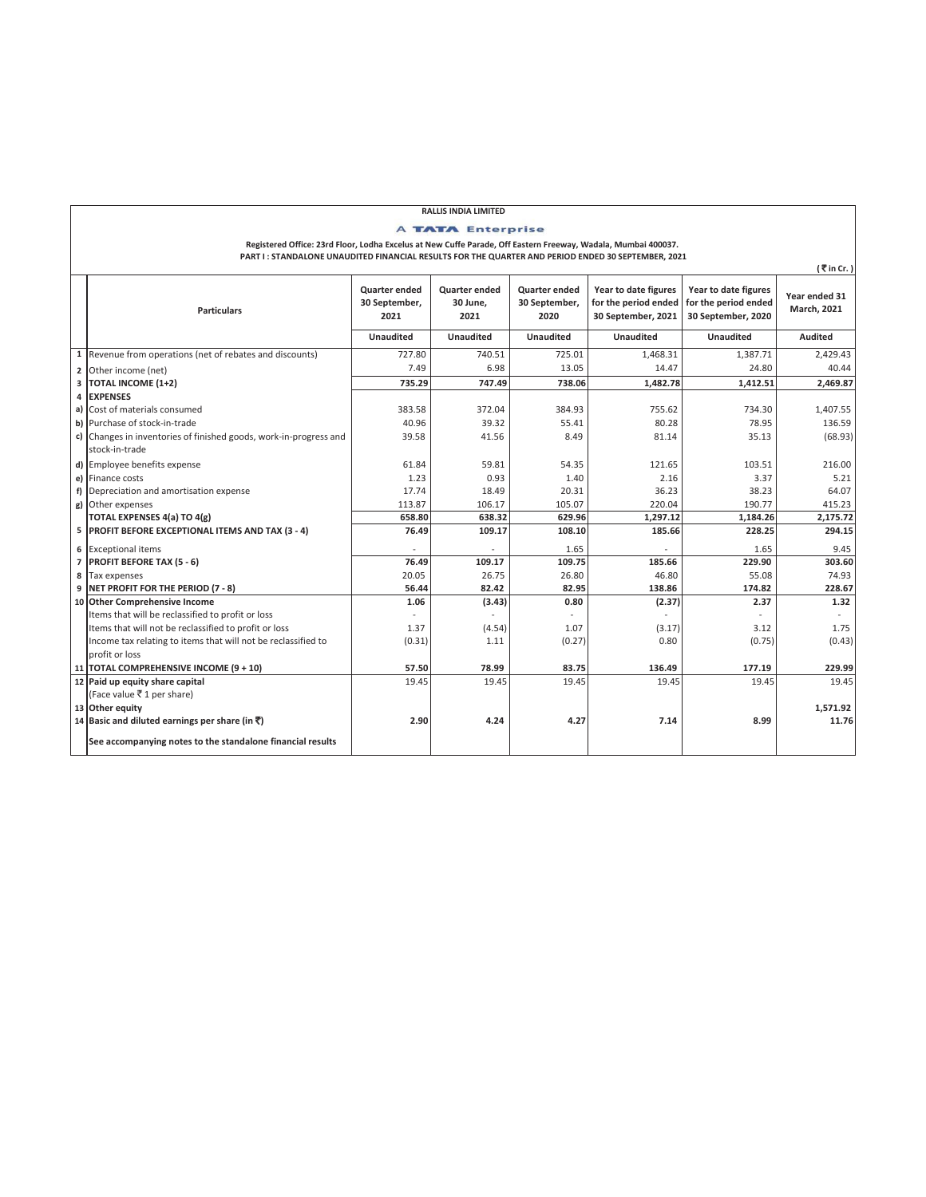## **RALLIS INDIA LIMITED**

A TATA Enterprise

**Registered Office: 23rd Floor, Lodha Excelus at New Cuffe Parade, Off Eastern Freeway, Wadala, Mumbai 400037.** 

**PART I : STANDALONE UNAUDITED FINANCIAL RESULTS FOR THE QUARTER AND PERIOD ENDED 30 SEPTEMBER, 2021**

| (₹in Cr.)    |                                                                                     |                                               |                                          |                                               |                                                                    |                                                                    |                              |  |  |  |
|--------------|-------------------------------------------------------------------------------------|-----------------------------------------------|------------------------------------------|-----------------------------------------------|--------------------------------------------------------------------|--------------------------------------------------------------------|------------------------------|--|--|--|
|              | <b>Particulars</b>                                                                  | <b>Quarter ended</b><br>30 September,<br>2021 | <b>Quarter ended</b><br>30 June,<br>2021 | <b>Quarter ended</b><br>30 September,<br>2020 | Year to date figures<br>for the period ended<br>30 September, 2021 | Year to date figures<br>for the period ended<br>30 September, 2020 | Year ended 31<br>March, 2021 |  |  |  |
|              |                                                                                     | <b>Unaudited</b>                              | Unaudited                                | <b>Unaudited</b>                              | <b>Unaudited</b>                                                   | <b>Unaudited</b>                                                   | <b>Audited</b>               |  |  |  |
| $\mathbf{1}$ | Revenue from operations (net of rebates and discounts)                              | 727.80                                        | 740.51                                   | 725.01                                        | 1,468.31                                                           | 1,387.71                                                           | 2,429.43                     |  |  |  |
|              | 2 Other income (net)                                                                | 7.49                                          | 6.98                                     | 13.05                                         | 14.47                                                              | 24.80                                                              | 40.44                        |  |  |  |
| 3            | <b>TOTAL INCOME (1+2)</b>                                                           | 735.29                                        | 747.49                                   | 738.06                                        | 1,482.78                                                           | 1,412.51                                                           | 2.469.87                     |  |  |  |
| 4            | <b>EXPENSES</b>                                                                     |                                               |                                          |                                               |                                                                    |                                                                    |                              |  |  |  |
|              | a) Cost of materials consumed                                                       | 383.58                                        | 372.04                                   | 384.93                                        | 755.62                                                             | 734.30                                                             | 1,407.55                     |  |  |  |
|              | b) Purchase of stock-in-trade                                                       | 40.96                                         | 39.32                                    | 55.41                                         | 80.28                                                              | 78.95                                                              | 136.59                       |  |  |  |
|              | c) Changes in inventories of finished goods, work-in-progress and<br>stock-in-trade | 39.58                                         | 41.56                                    | 8.49                                          | 81.14                                                              | 35.13                                                              | (68.93)                      |  |  |  |
|              | d) Employee benefits expense                                                        | 61.84                                         | 59.81                                    | 54.35                                         | 121.65                                                             | 103.51                                                             | 216.00                       |  |  |  |
|              | e) Finance costs                                                                    | 1.23                                          | 0.93                                     | 1.40                                          | 2.16                                                               | 3.37                                                               | 5.21                         |  |  |  |
|              | f) Depreciation and amortisation expense                                            | 17.74                                         | 18.49                                    | 20.31                                         | 36.23                                                              | 38.23                                                              | 64.07                        |  |  |  |
|              | g) Other expenses                                                                   | 113.87                                        | 106.17                                   | 105.07                                        | 220.04                                                             | 190.77                                                             | 415.23                       |  |  |  |
|              | TOTAL EXPENSES 4(a) TO 4(g)                                                         | 658.80                                        | 638.32                                   | 629.96                                        | 1,297.12                                                           | 1,184.26                                                           | 2,175.72                     |  |  |  |
|              | 5 PROFIT BEFORE EXCEPTIONAL ITEMS AND TAX (3 - 4)                                   | 76.49                                         | 109.17                                   | 108.10                                        | 185.66                                                             | 228.25                                                             | 294.15                       |  |  |  |
|              | 6 Exceptional items                                                                 |                                               |                                          | 1.65                                          |                                                                    | 1.65                                                               | 9.45                         |  |  |  |
|              | 7 PROFIT BEFORE TAX (5 - 6)                                                         | 76.49                                         | 109.17                                   | 109.75                                        | 185.66                                                             | 229.90                                                             | 303.60                       |  |  |  |
| 8            | Tax expenses                                                                        | 20.05                                         | 26.75                                    | 26.80                                         | 46.80                                                              | 55.08                                                              | 74.93                        |  |  |  |
|              | 9 NET PROFIT FOR THE PERIOD (7 - 8)                                                 | 56.44                                         | 82.42                                    | 82.95                                         | 138.86                                                             | 174.82                                                             | 228.67                       |  |  |  |
|              | 10 Other Comprehensive Income                                                       | 1.06                                          | (3.43)                                   | 0.80                                          | (2.37)                                                             | 2.37                                                               | 1.32                         |  |  |  |
|              | Items that will be reclassified to profit or loss                                   |                                               |                                          |                                               |                                                                    |                                                                    |                              |  |  |  |
|              | Items that will not be reclassified to profit or loss                               | 1.37                                          | (4.54)                                   | 1.07                                          | (3.17)                                                             | 3.12                                                               | 1.75                         |  |  |  |
|              | Income tax relating to items that will not be reclassified to                       | (0.31)                                        | 1.11                                     | (0.27)                                        | 0.80                                                               | (0.75)                                                             | (0.43)                       |  |  |  |
|              | profit or loss                                                                      |                                               |                                          |                                               |                                                                    |                                                                    |                              |  |  |  |
|              | 11 TOTAL COMPREHENSIVE INCOME (9 + 10)                                              | 57.50                                         | 78.99                                    | 83.75                                         | 136.49                                                             | 177.19                                                             | 229.99                       |  |  |  |
|              | 12 Paid up equity share capital                                                     | 19.45                                         | 19.45                                    | 19.45                                         | 19.45                                                              | 19.45                                                              | 19.45                        |  |  |  |
|              | (Face value ₹1 per share)<br>13 Other equity                                        |                                               |                                          |                                               |                                                                    |                                                                    | 1,571.92                     |  |  |  |
|              | 14 Basic and diluted earnings per share (in $\bar{\mathbf{z}}$ )                    | 2.90                                          | 4.24                                     | 4.27                                          | 7.14                                                               | 8.99                                                               | 11.76                        |  |  |  |
|              | See accompanying notes to the standalone financial results                          |                                               |                                          |                                               |                                                                    |                                                                    |                              |  |  |  |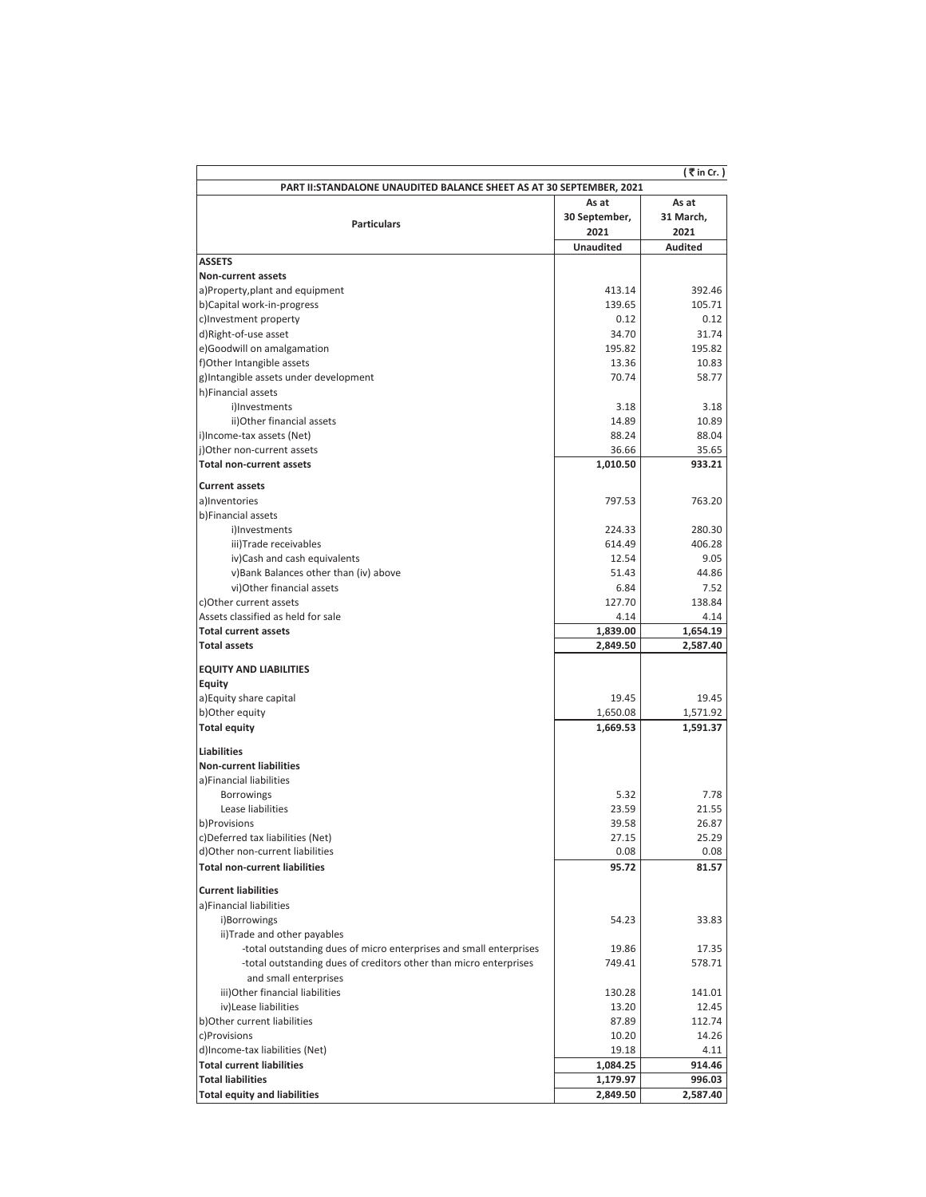|                                                                                                                                         |                  | ( ₹ in Cr. )    |  |  |  |  |
|-----------------------------------------------------------------------------------------------------------------------------------------|------------------|-----------------|--|--|--|--|
| PART II: STANDALONE UNAUDITED BALANCE SHEET AS AT 30 SEPTEMBER, 2021                                                                    |                  |                 |  |  |  |  |
| As at<br>As at                                                                                                                          |                  |                 |  |  |  |  |
| <b>Particulars</b>                                                                                                                      | 30 September,    | 31 March,       |  |  |  |  |
|                                                                                                                                         | 2021             | 2021            |  |  |  |  |
|                                                                                                                                         | <b>Unaudited</b> | <b>Audited</b>  |  |  |  |  |
| <b>ASSETS</b>                                                                                                                           |                  |                 |  |  |  |  |
| Non-current assets                                                                                                                      |                  |                 |  |  |  |  |
| a)Property, plant and equipment                                                                                                         | 413.14           | 392.46          |  |  |  |  |
| b)Capital work-in-progress                                                                                                              | 139.65           | 105.71          |  |  |  |  |
| c)Investment property                                                                                                                   | 0.12             | 0.12            |  |  |  |  |
| d)Right-of-use asset                                                                                                                    | 34.70            | 31.74           |  |  |  |  |
| e)Goodwill on amalgamation                                                                                                              | 195.82           | 195.82          |  |  |  |  |
| f)Other Intangible assets                                                                                                               | 13.36            | 10.83           |  |  |  |  |
| g)Intangible assets under development                                                                                                   | 70.74            | 58.77           |  |  |  |  |
| h)Financial assets                                                                                                                      |                  |                 |  |  |  |  |
| i)Investments                                                                                                                           | 3.18             | 3.18            |  |  |  |  |
| ii) Other financial assets                                                                                                              | 14.89            | 10.89           |  |  |  |  |
| i)Income-tax assets (Net)                                                                                                               | 88.24            | 88.04           |  |  |  |  |
| i)Other non-current assets<br><b>Total non-current assets</b>                                                                           | 36.66            | 35.65<br>933.21 |  |  |  |  |
|                                                                                                                                         | 1,010.50         |                 |  |  |  |  |
| <b>Current assets</b>                                                                                                                   |                  |                 |  |  |  |  |
| a)Inventories                                                                                                                           | 797.53           | 763.20          |  |  |  |  |
| b)Financial assets                                                                                                                      |                  |                 |  |  |  |  |
| i)Investments                                                                                                                           | 224.33           | 280.30          |  |  |  |  |
| iii)Trade receivables                                                                                                                   | 614.49           | 406.28          |  |  |  |  |
| iv)Cash and cash equivalents                                                                                                            | 12.54            | 9.05            |  |  |  |  |
| v)Bank Balances other than (iv) above                                                                                                   | 51.43            | 44.86           |  |  |  |  |
| vi) Other financial assets                                                                                                              | 6.84             | 7.52            |  |  |  |  |
| c)Other current assets                                                                                                                  | 127.70           | 138.84          |  |  |  |  |
| Assets classified as held for sale                                                                                                      | 4.14             | 4.14            |  |  |  |  |
| <b>Total current assets</b>                                                                                                             | 1,839.00         | 1,654.19        |  |  |  |  |
| <b>Total assets</b>                                                                                                                     | 2,849.50         | 2,587.40        |  |  |  |  |
| <b>EQUITY AND LIABILITIES</b>                                                                                                           |                  |                 |  |  |  |  |
| Equity                                                                                                                                  |                  |                 |  |  |  |  |
| a) Equity share capital                                                                                                                 | 19.45            | 19.45           |  |  |  |  |
| b) Other equity                                                                                                                         | 1,650.08         | 1,571.92        |  |  |  |  |
| <b>Total equity</b>                                                                                                                     | 1,669.53         | 1,591.37        |  |  |  |  |
| <b>Liabilities</b>                                                                                                                      |                  |                 |  |  |  |  |
| <b>Non-current liabilities</b>                                                                                                          |                  |                 |  |  |  |  |
| a)Financial liabilities                                                                                                                 |                  |                 |  |  |  |  |
| <b>Borrowings</b>                                                                                                                       | 5.32             | 7.78            |  |  |  |  |
| Lease liabilities                                                                                                                       | 23.59            | 21.55           |  |  |  |  |
| b)Provisions                                                                                                                            | 39.58            | 26.87           |  |  |  |  |
| c)Deferred tax liabilities (Net)                                                                                                        | 27.15            | 25.29           |  |  |  |  |
| d)Other non-current liabilities                                                                                                         | 0.08             | 0.08            |  |  |  |  |
| <b>Total non-current liabilities</b>                                                                                                    | 95.72            | 81.57           |  |  |  |  |
|                                                                                                                                         |                  |                 |  |  |  |  |
| <b>Current liabilities</b>                                                                                                              |                  |                 |  |  |  |  |
| a)Financial liabilities                                                                                                                 |                  |                 |  |  |  |  |
| i)Borrowings                                                                                                                            | 54.23            | 33.83           |  |  |  |  |
| ii) Trade and other payables                                                                                                            |                  | 17.35           |  |  |  |  |
| -total outstanding dues of micro enterprises and small enterprises<br>-total outstanding dues of creditors other than micro enterprises | 19.86<br>749.41  | 578.71          |  |  |  |  |
| and small enterprises                                                                                                                   |                  |                 |  |  |  |  |
| iii) Other financial liabilities                                                                                                        | 130.28           | 141.01          |  |  |  |  |
| iv)Lease liabilities                                                                                                                    | 13.20            | 12.45           |  |  |  |  |
| b) Other current liabilities                                                                                                            | 87.89            | 112.74          |  |  |  |  |
| c)Provisions                                                                                                                            | 10.20            | 14.26           |  |  |  |  |
| d)Income-tax liabilities (Net)                                                                                                          | 19.18            | 4.11            |  |  |  |  |
| <b>Total current liabilities</b>                                                                                                        | 1,084.25         | 914.46          |  |  |  |  |
| <b>Total liabilities</b>                                                                                                                | 1,179.97         | 996.03          |  |  |  |  |
| <b>Total equity and liabilities</b>                                                                                                     | 2,849.50         | 2,587.40        |  |  |  |  |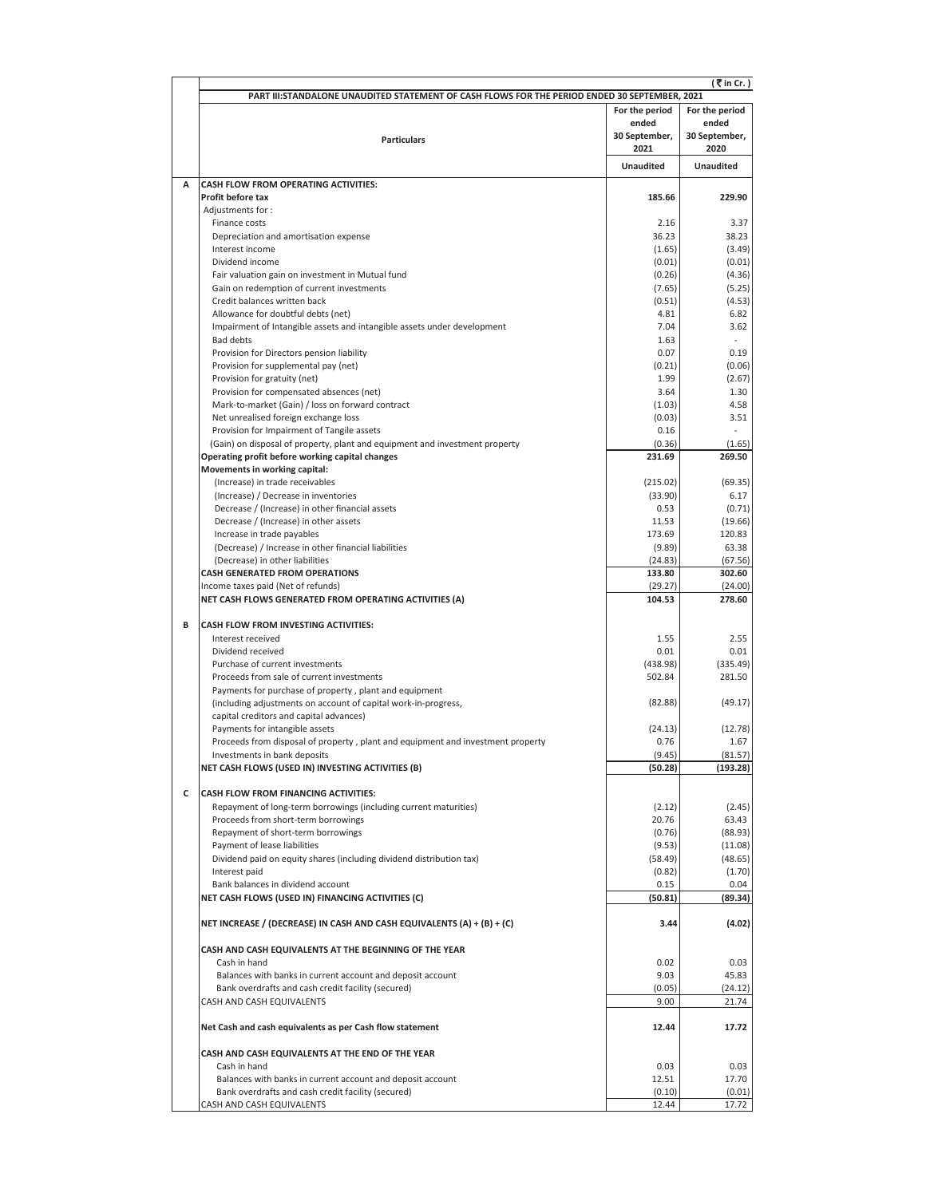|   | (₹in Cr.)<br>PART III:STANDALONE UNAUDITED STATEMENT OF CASH FLOWS FOR THE PERIOD ENDED 30 SEPTEMBER, 2021       |                       |                       |  |  |
|---|------------------------------------------------------------------------------------------------------------------|-----------------------|-----------------------|--|--|
|   |                                                                                                                  | For the period        | For the period        |  |  |
|   |                                                                                                                  | ended                 | ended                 |  |  |
|   | <b>Particulars</b>                                                                                               | 30 September,<br>2021 | 30 September,<br>2020 |  |  |
|   |                                                                                                                  | <b>Unaudited</b>      | Unaudited             |  |  |
| A | <b>CASH FLOW FROM OPERATING ACTIVITIES:</b>                                                                      |                       |                       |  |  |
|   | Profit before tax                                                                                                | 185.66                | 229.90                |  |  |
|   | Adjustments for:<br>Finance costs                                                                                | 2.16                  | 3.37                  |  |  |
|   | Depreciation and amortisation expense                                                                            | 36.23                 | 38.23                 |  |  |
|   | Interest income                                                                                                  | (1.65)                | (3.49)                |  |  |
|   | Dividend income                                                                                                  | (0.01)                | (0.01)                |  |  |
|   | Fair valuation gain on investment in Mutual fund                                                                 | (0.26)                | (4.36)                |  |  |
|   | Gain on redemption of current investments                                                                        | (7.65)                | (5.25)                |  |  |
|   | Credit balances written back                                                                                     | (0.51)                | (4.53)                |  |  |
|   | Allowance for doubtful debts (net)<br>Impairment of Intangible assets and intangible assets under development    | 4.81<br>7.04          | 6.82<br>3.62          |  |  |
|   | <b>Bad debts</b>                                                                                                 | 1.63                  |                       |  |  |
|   | Provision for Directors pension liability                                                                        | 0.07                  | 0.19                  |  |  |
|   | Provision for supplemental pay (net)                                                                             | (0.21)                | (0.06)                |  |  |
|   | Provision for gratuity (net)                                                                                     | 1.99                  | (2.67)                |  |  |
|   | Provision for compensated absences (net)                                                                         | 3.64                  | 1.30                  |  |  |
|   | Mark-to-market (Gain) / loss on forward contract                                                                 | (1.03)                | 4.58                  |  |  |
|   | Net unrealised foreign exchange loss<br>Provision for Impairment of Tangile assets                               | (0.03)<br>0.16        | 3.51                  |  |  |
|   | (Gain) on disposal of property, plant and equipment and investment property                                      | (0.36)                | (1.65)                |  |  |
|   | Operating profit before working capital changes                                                                  | 231.69                | 269.50                |  |  |
|   | Movements in working capital:                                                                                    |                       |                       |  |  |
|   | (Increase) in trade receivables                                                                                  | (215.02)              | (69.35)               |  |  |
|   | (Increase) / Decrease in inventories                                                                             | (33.90)               | 6.17                  |  |  |
|   | Decrease / (Increase) in other financial assets                                                                  | 0.53                  | (0.71)                |  |  |
|   | Decrease / (Increase) in other assets<br>Increase in trade payables                                              | 11.53<br>173.69       | (19.66)<br>120.83     |  |  |
|   | (Decrease) / Increase in other financial liabilities                                                             | (9.89)                | 63.38                 |  |  |
|   | (Decrease) in other liabilities                                                                                  | (24.83)               | (67.56)               |  |  |
|   | <b>CASH GENERATED FROM OPERATIONS</b>                                                                            | 133.80                | 302.60                |  |  |
|   | Income taxes paid (Net of refunds)                                                                               | (29.27)               | (24.00)               |  |  |
|   | NET CASH FLOWS GENERATED FROM OPERATING ACTIVITIES (A)                                                           | 104.53                | 278.60                |  |  |
| B | <b>CASH FLOW FROM INVESTING ACTIVITIES:</b>                                                                      |                       |                       |  |  |
|   | Interest received                                                                                                | 1.55                  | 2.55                  |  |  |
|   | Dividend received                                                                                                | 0.01                  | 0.01                  |  |  |
|   | Purchase of current investments<br>Proceeds from sale of current investments                                     | (438.98)<br>502.84    | (335.49)<br>281.50    |  |  |
|   | Payments for purchase of property, plant and equipment                                                           |                       |                       |  |  |
|   | (including adjustments on account of capital work-in-progress,                                                   | (82.88)               | (49.17)               |  |  |
|   | capital creditors and capital advances)                                                                          |                       |                       |  |  |
|   | Payments for intangible assets                                                                                   | (24.13)               | (12.78)               |  |  |
|   | Proceeds from disposal of property, plant and equipment and investment property                                  | 0.76                  | 1.67                  |  |  |
|   | Investments in bank deposits                                                                                     | (9.45)                | (81.57)               |  |  |
|   | NET CASH FLOWS (USED IN) INVESTING ACTIVITIES (B)                                                                | (50.28)               | (193.28)              |  |  |
| C | <b>CASH FLOW FROM FINANCING ACTIVITIES:</b>                                                                      |                       |                       |  |  |
|   | Repayment of long-term borrowings (including current maturities)                                                 | (2.12)                | (2.45)                |  |  |
|   | Proceeds from short-term borrowings                                                                              | 20.76                 | 63.43                 |  |  |
|   | Repayment of short-term borrowings                                                                               | (0.76)                | (88.93)               |  |  |
|   | Payment of lease liabilities                                                                                     | (9.53)                | (11.08)               |  |  |
|   | Dividend paid on equity shares (including dividend distribution tax)<br>Interest paid                            | (58.49)               | (48.65)               |  |  |
|   | Bank balances in dividend account                                                                                | (0.82)<br>0.15        | (1.70)<br>0.04        |  |  |
|   | NET CASH FLOWS (USED IN) FINANCING ACTIVITIES (C)                                                                | (50.81)               | (89.34)               |  |  |
|   |                                                                                                                  |                       |                       |  |  |
|   | NET INCREASE / (DECREASE) IN CASH AND CASH EQUIVALENTS (A) + (B) + (C)                                           | 3.44                  | (4.02)                |  |  |
|   | CASH AND CASH EQUIVALENTS AT THE BEGINNING OF THE YEAR                                                           |                       |                       |  |  |
|   | Cash in hand<br>Balances with banks in current account and deposit account                                       | 0.02<br>9.03          | 0.03<br>45.83         |  |  |
|   | Bank overdrafts and cash credit facility (secured)                                                               | (0.05)                | (24.12)               |  |  |
|   | CASH AND CASH EQUIVALENTS                                                                                        | 9.00                  | 21.74                 |  |  |
|   |                                                                                                                  |                       |                       |  |  |
|   | Net Cash and cash equivalents as per Cash flow statement                                                         | 12.44                 | 17.72                 |  |  |
|   | CASH AND CASH EQUIVALENTS AT THE END OF THE YEAR                                                                 |                       |                       |  |  |
|   | Cash in hand                                                                                                     | 0.03                  | 0.03                  |  |  |
|   | Balances with banks in current account and deposit account<br>Bank overdrafts and cash credit facility (secured) | 12.51<br>(0.10)       | 17.70<br>(0.01)       |  |  |
|   | CASH AND CASH EQUIVALENTS                                                                                        | 12.44                 | 17.72                 |  |  |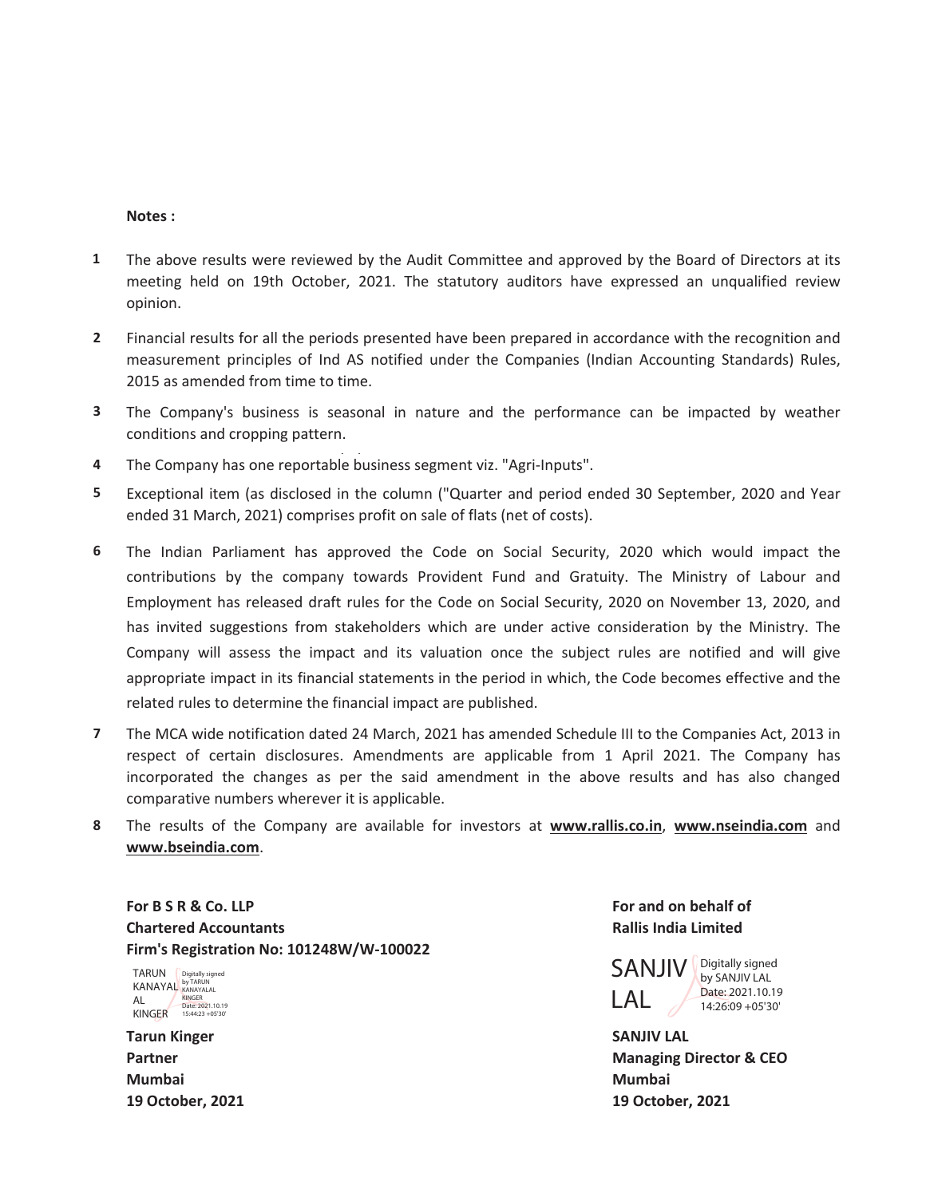## **Notes :**

- **1** The above results were reviewed by the Audit Committee and approved by the Board of Directors at its meeting held on 19th October, 2021. The statutory auditors have expressed an unqualified review opinion.
- **2** Financial results for all the periods presented have been prepared in accordance with the recognition and measurement principles of Ind AS notified under the Companies (Indian Accounting Standards) Rules, 2015 as amended from time to time.
- **3** The Company's business is seasonal in nature and the performance can be impacted by weather conditions and cropping pattern.
- 4 The Company has one reportable business segment viz. "Agri-Inputs".
- **5** Exceptional item (as disclosed in the column ("Quarter and period ended 30 September, 2020 and Year ended 31 March, 2021) comprises profit on sale of flats (net of costs).
- **6** The Indian Parliament has approved the Code on Social Security, 2020 which would impact the contributions by the company towards Provident Fund and Gratuity. The Ministry of Labour and Employment has released draft rules for the Code on Social Security, 2020 on November 13, 2020, and has invited suggestions from stakeholders which are under active consideration by the Ministry. The Company will assess the impact and its valuation once the subject rules are notified and will give appropriate impact in its financial statements in the period in which, the Code becomes effective and the related rules to determine the financial impact are published.
- **7** The MCA wide notification dated 24 March, 2021 has amended Schedule III to the Companies Act, 2013 in respect of certain disclosures. Amendments are applicable from 1 April 2021. The Company has incorporated the changes as per the said amendment in the above results and has also changed comparative numbers wherever it is applicable.
- **8** The results of the Company are available for investors at **www.rallis.co.in**, **www.nseindia.com** and **www.bseindia.com**.

For B S R & Co. LLP **For and on behalf of For and on behalf of For and on behalf of Chartered Accountants Rallis India Limited Firm's Registration No: 101248W/W-100022**

TARUN KANAYAL AL KINGER Digitally signed by TARUN KANAYALAL KINGER Date: 2021.10.19 15:44:23 +05'30'

**Tarun Kinger SANJIV LAL Mumbai Mumbai**

SANJIV LAL Digitally signed by SANJIV LAL Date: 2021.10.19 14:26:09 +05'30'

**Partner Managing Director & CEO 19 October, 2021 19 October, 2021**